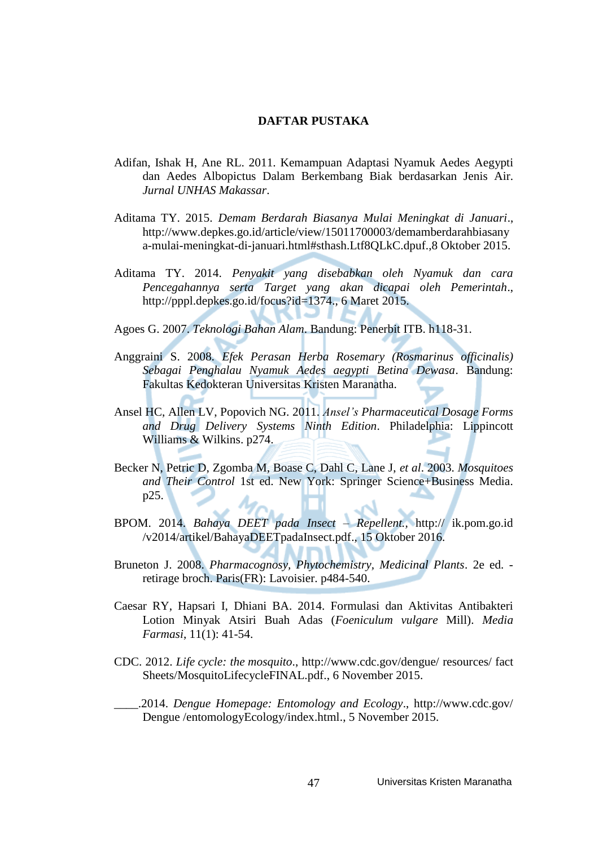## **DAFTAR PUSTAKA**

- Adifan, Ishak H, Ane RL. 2011. Kemampuan Adaptasi Nyamuk Aedes Aegypti dan Aedes Albopictus Dalam Berkembang Biak berdasarkan Jenis Air. *Jurnal UNHAS Makassar*.
- Aditama TY. 2015. *Demam Berdarah Biasanya Mulai Meningkat di Januari*., [http://www.depkes.go.id/article/view/15011700003/demamberdarahbiasany](http://www.depkes.go.id/article/view/15011700003/demamberdarahbiasanya-mulai-meningkat-di-januari.html#sthash.Ltf8QLkC.dpuf.,8) [a-mulai-meningkat-di-januari.html#sthash.Ltf8QLkC.dpuf.,8](http://www.depkes.go.id/article/view/15011700003/demamberdarahbiasanya-mulai-meningkat-di-januari.html#sthash.Ltf8QLkC.dpuf.,8) Oktober 2015.
- Aditama TY. 2014. *Penyakit yang disebabkan oleh Nyamuk dan cara Pencegahannya serta Target yang akan dicapai oleh Pemerintah*., [http://pppl.depkes.go.id/focus?id=1374.](http://pppl.depkes.go.id/focus?id=1374), 6 Maret 2015.

Agoes G. 2007. *Teknologi Bahan Alam*. Bandung: Penerbit ITB. h118-31.

- Anggraini S. 2008. *Efek Perasan Herba Rosemary (Rosmarinus officinalis) Sebagai Penghalau Nyamuk Aedes aegypti Betina Dewasa*. Bandung: Fakultas Kedokteran Universitas Kristen Maranatha.
- Ansel HC, Allen LV, Popovich NG. 2011. *Ansel's Pharmaceutical Dosage Forms and Drug Delivery Systems Ninth Edition*. Philadelphia: Lippincott Williams & Wilkins. p274.
- Becker N, Petric D, Zgomba M, Boase C, Dahl C, Lane J, *et al*. 2003. *Mosquitoes and Their Control* 1st ed. New York: Springer Science+Business Media. p25.
- BPOM. 2014. *Bahaya DEET pada Insect – Repellent.,* http:// ik.pom.go.id /v2014/artikel/BahayaDEETpadaInsect.pdf., 15 Oktober 2016.
- Bruneton J. 2008. *Pharmacognosy, Phytochemistry, Medicinal Plants*. 2e ed. retirage broch. Paris(FR): Lavoisier. p484-540.
- Caesar RY, Hapsari I, Dhiani BA. 2014. Formulasi dan Aktivitas Antibakteri Lotion Minyak Atsiri Buah Adas (*Foeniculum vulgare* Mill). *Media Farmasi*, 11(1): 41-54.
- CDC. 2012. *Life [cycle: the](http://www.cdc.gov/dengue/resources/factSheets/MosquitoLifecycleFINAL.pdf) mosquito*., [http://www.cdc.gov/dengue/](http://www.cdc.gov/dengue/%20resources/%20fact%20Sheets/MosquitoLifecycleFINAL.pdf) resources/ fact [Sheets/MosquitoLifecycleFINAL.pdf.](http://www.cdc.gov/dengue/%20resources/%20fact%20Sheets/MosquitoLifecycleFINAL.pdf), 6 November 2015.

\_\_\_\_.2014. *Dengue Homepage: Entomology and Ecology*., [http://www.cdc.gov/](http://www.cdc.gov/%20Dengue%20/entomologyEcology/index.html) Dengue [/entomologyEcology/index.html.](http://www.cdc.gov/%20Dengue%20/entomologyEcology/index.html), 5 November 2015.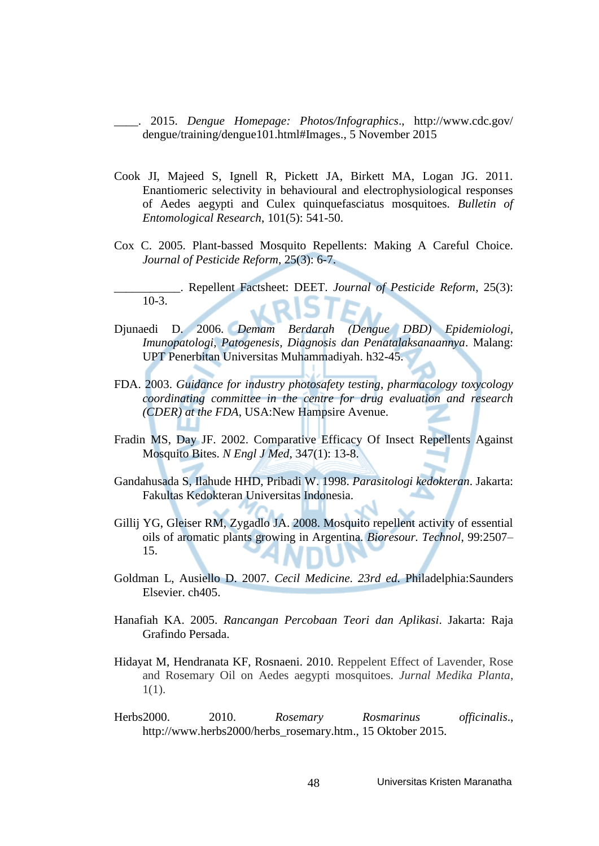\_\_\_\_. 2015. *Dengue Homepage: Photos/Infographics*., [http://www.cdc.gov/](http://www.cdc.gov/%20dengue/training/dengue101.html#Images) [dengue/training/dengue101.html#Images.](http://www.cdc.gov/%20dengue/training/dengue101.html#Images), 5 November 2015

- Cook JI, Majeed S, Ignell R, Pickett JA, Birkett MA, Logan JG. 2011. Enantiomeric selectivity in behavioural and electrophysiological responses of Aedes aegypti and Culex quinquefasciatus mosquitoes. *Bulletin of Entomological Research*, 101(5): 541-50.
- Cox C. 2005. Plant-bassed Mosquito Repellents: Making A Careful Choice. *Journal of Pesticide Reform*, 25(3): 6-7.
- \_\_\_\_\_\_\_\_\_\_\_. Repellent Factsheet: DEET. *Journal of Pesticide Reform*, 25(3): 10-3.
- Djunaedi D. 2006. *Demam Berdarah (Dengue DBD) Epidemiologi, Imunopatologi, Patogenesis, Diagnosis dan Penatalaksanaannya*. Malang: UPT Penerbitan Universitas Muhammadiyah. h32-45.
- FDA. 2003. *Guidance for industry photosafety testing*, *pharmacology toxycology coordinating committee in the centre for drug evaluation and research (CDER) at the FDA*, USA:New Hampsire Avenue.
- Fradin MS, Day JF. 2002. Comparative Efficacy Of Insect Repellents Against Mosquito Bites. *N Engl J Med*, 347(1): 13-8.
- Gandahusada S, Ilahude HHD, Pribadi W. 1998. *Parasitologi kedokteran*. Jakarta: Fakultas Kedokteran Universitas Indonesia.
- Gillij YG, Gleiser RM, Zygadlo JA. 2008. Mosquito repellent activity of essential oils of aromatic plants growing in Argentina. *Bioresour. Technol*, 99:2507– 15.
- Goldman L, Ausiello D. 2007. *Cecil Medicine*. *23rd ed*. Philadelphia:Saunders Elsevier. ch405.
- Hanafiah KA. 2005. *Rancangan Percobaan Teori dan Aplikasi*. Jakarta: Raja Grafindo Persada.
- Hidayat M, Hendranata KF, Rosnaeni. 2010. Reppelent Effect of Lavender, Rose and Rosemary Oil on Aedes aegypti mosquitoes. *Jurnal Medika Planta*, 1(1).
- Herbs2000. 2010. *Rosemary Rosmarinus officinalis*., [http://www.herbs2000/herbs\\_rosemary.htm.](http://www.herbs2000/herbs_rosemary.htm), 15 Oktober 2015.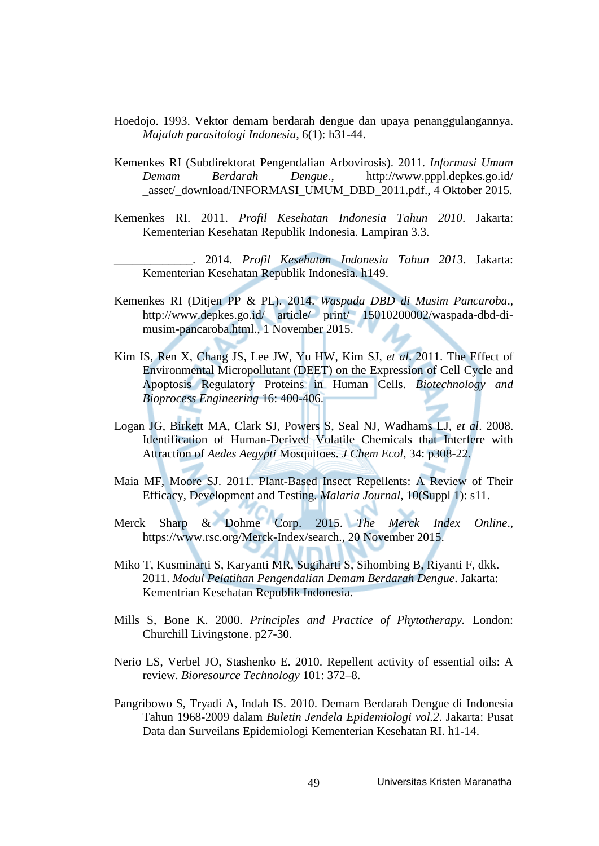- Hoedojo. 1993. Vektor demam berdarah dengue dan upaya penanggulangannya. *Majalah parasitologi Indonesia*, 6(1): h31-44.
- Kemenkes RI (Subdirektorat Pengendalian Arbovirosis). 2011. *Informasi Umum Demam Berdarah Dengue*., [http://www.pppl.depkes.go.id/](http://www.pppl.depkes.go.id/%20_asset/_download/INFORMASI_UMUM_DBD_2011.pdf) [\\_asset/\\_download/INFORMASI\\_UMUM\\_DBD\\_2011.pdf.](http://www.pppl.depkes.go.id/%20_asset/_download/INFORMASI_UMUM_DBD_2011.pdf), 4 Oktober 2015.
- Kemenkes RI. 2011. *Profil Kesehatan Indonesia Tahun 2010*. Jakarta: Kementerian Kesehatan Republik Indonesia. Lampiran 3.3.

\_\_\_\_\_\_\_\_\_\_\_\_\_. 2014. *Profil Kesehatan Indonesia Tahun 2013*. Jakarta: Kementerian Kesehatan Republik Indonesia. h149.

- Kemenkes RI (Ditjen PP & PL). 2014. *Waspada DBD di Musim Pancaroba*., http://www.depkes.go.id/ article/ print/ 15010200002/waspada-dbd-dimusim-pancaroba.html., 1 November 2015.
- Kim IS, Ren X, Chang JS, Lee JW, Yu HW, Kim SJ, *et al*. 2011. The Effect of Environmental Micropollutant (DEET) on the Expression of Cell Cycle and Apoptosis Regulatory Proteins in Human Cells. *Biotechnology and Bioprocess Engineering* 16: 400-406.
- Logan JG, Birkett MA, Clark SJ, Powers S, Seal NJ, Wadhams LJ, *et al*. 2008. Identification of Human-Derived Volatile Chemicals that Interfere with Attraction of *Aedes Aegypti* Mosquitoes. *J Chem Ecol*, 34: p308-22.
- Maia MF, Moore SJ. 2011. Plant-Based Insect Repellents: A Review of Their Efficacy, Development and Testing. *Malaria Journal*, 10(Suppl 1): s11.
- Merck Sharp & Dohme Corp. 2015. *The Merck Index Online*., [https://www.rsc.org/Merck-Index/search.](https://www.rsc.org/Merck-Index/search), 20 November 2015.
- Miko T, Kusminarti S, Karyanti MR, Sugiharti S, Sihombing B, Riyanti F, dkk. 2011. *Modul Pelatihan Pengendalian Demam Berdarah Dengue*. Jakarta: Kementrian Kesehatan Republik Indonesia.
- Mills S, Bone K. 2000. *Principles and Practice of Phytotherapy.* London: Churchill Livingstone. p27-30.
- Nerio LS, Verbel JO, Stashenko E. 2010. Repellent activity of essential oils: A review. *Bioresource Technology* 101: 372–8.
- Pangribowo S, Tryadi A, Indah IS. 2010. Demam Berdarah Dengue di Indonesia Tahun 1968-2009 dalam *Buletin Jendela Epidemiologi vol.2*. Jakarta: Pusat Data dan Surveilans Epidemiologi Kementerian Kesehatan RI. h1-14.